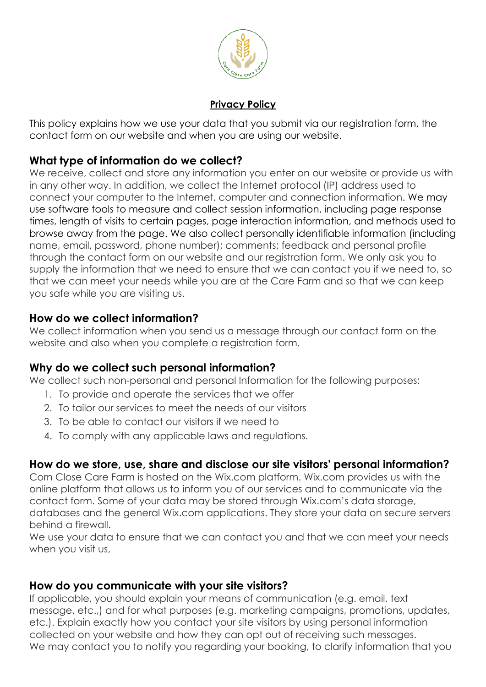

#### **Privacy Policy**

This policy explains how we use your data that you submit via our registration form, the contact form on our website and when you are using our website.

## **What type of information do we collect?**

We receive, collect and store any information you enter on our website or provide us with in any other way. In addition, we collect the Internet protocol (IP) address used to connect your computer to the Internet, computer and connection information. We may use software tools to measure and collect session information, including page response times, length of visits to certain pages, page interaction information, and methods used to browse away from the page. We also collect personally identifiable information (including name, email, password, phone number); comments; feedback and personal profile through the contact form on our website and our registration form. We only ask you to supply the information that we need to ensure that we can contact you if we need to, so that we can meet your needs while you are at the Care Farm and so that we can keep you safe while you are visiting us.

# **How do we collect information?**

We collect information when you send us a message through our contact form on the website and also when you complete a registration form.

# **Why do we collect such personal information?**

We collect such non-personal and personal Information for the following purposes:

- 1. To provide and operate the services that we offer
- 2. To tailor our services to meet the needs of our visitors
- 3. To be able to contact our visitors if we need to
- 4. To comply with any applicable laws and regulations.

# **How do we store, use, share and disclose our site visitors' personal information?**

Corn Close Care Farm is hosted on the Wix.com platform. Wix.com provides us with the online platform that allows us to inform you of our services and to communicate via the contact form. Some of your data may be stored through Wix.com's data storage, databases and the general Wix.com applications. They store your data on secure servers behind a firewall.

We use your data to ensure that we can contact you and that we can meet your needs when you visit us,

## **How do you communicate with your site visitors?**

If applicable, you should explain your means of communication (e.g. email, text message, etc.,) and for what purposes (e.g. marketing campaigns, promotions, updates, etc.). Explain exactly how you contact your site visitors by using personal information collected on your website and how they can opt out of receiving such messages. We may contact you to notify you regarding your booking, to clarify information that you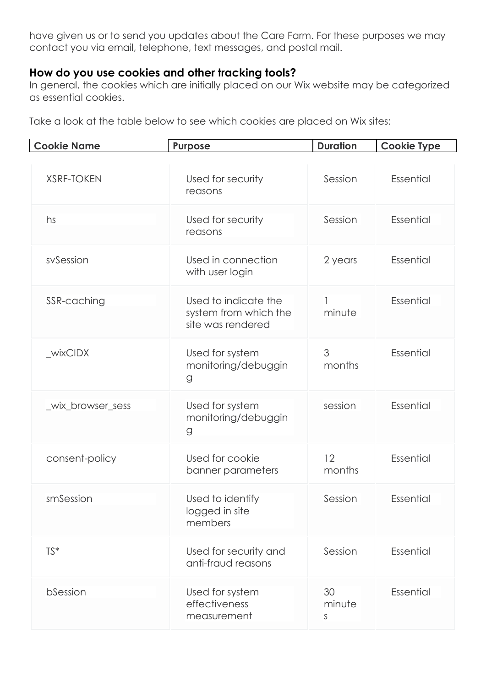have given us or to send you updates about the Care Farm. For these purposes we may contact you via email, telephone, text messages, and postal mail.

### **How do you use cookies and other tracking tools?**

In general, the cookies which are initially placed on our Wix website may be categorized as essential cookies.

Take a look at the table below to see which cookies are placed on Wix sites:

| <b>Cookie Name</b> | <b>Purpose</b>                                                     | <b>Duration</b>   | <b>Cookie Type</b> |
|--------------------|--------------------------------------------------------------------|-------------------|--------------------|
| <b>XSRF-TOKEN</b>  | Used for security<br>reasons                                       | Session           | Essential          |
| hs                 | Used for security<br>reasons                                       | Session           | Essential          |
| sySession          | Used in connection<br>with user login                              | 2 years           | Essential          |
| SSR-caching        | Used to indicate the<br>system from which the<br>site was rendered | minute            | Essential          |
| _wixCIDX           | Used for system<br>monitoring/debuggin<br>g                        | 3<br>months       | Essential          |
| _wix_browser_sess  | Used for system<br>monitoring/debuggin<br>g                        | session           | Essential          |
| consent-policy     | Used for cookie<br>banner parameters                               | 12<br>months      | Essential          |
| smSession          | Used to identify<br>logged in site<br>members                      | Session           | Essential          |
| TS*                | Used for security and<br>anti-fraud reasons                        | Session           | Essential          |
| bSession           | Used for system<br>effectiveness<br>measurement                    | 30<br>minute<br>S | Essential          |